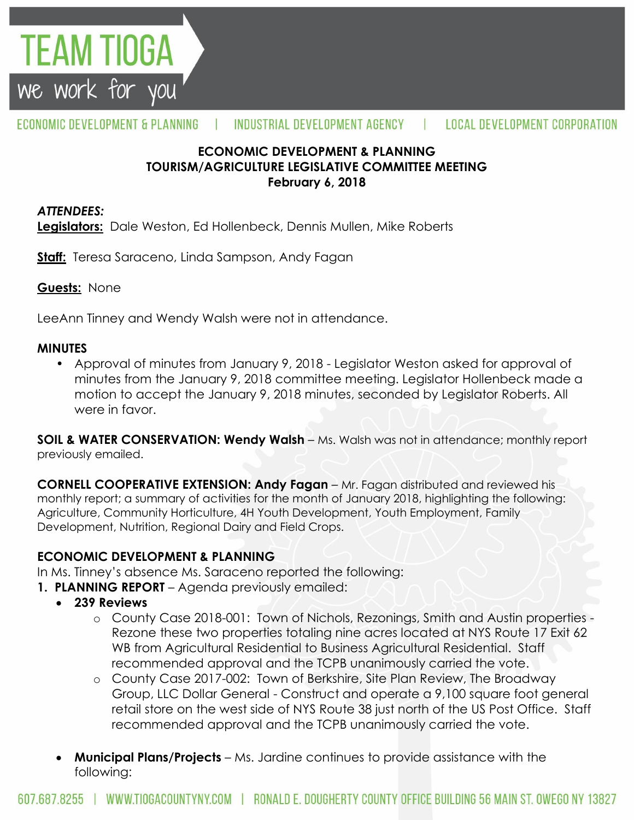

#### ECONOMIC DEVELOPMENT & PLANNING INDUSTRIAL DEVELOPMENT AGENCY Ш **LOCAL DEVELOPMENT CORPORATION**

## **ECONOMIC DEVELOPMENT & PLANNING TOURISM/AGRICULTURE LEGISLATIVE COMMITTEE MEETING February 6, 2018**

#### *ATTENDEES:*

**Legislators:** Dale Weston, Ed Hollenbeck, Dennis Mullen, Mike Roberts

**Staff:** Teresa Saraceno, Linda Sampson, Andy Fagan

**Guests:** None

LeeAnn Tinney and Wendy Walsh were not in attendance.

#### **MINUTES**

• Approval of minutes from January 9, 2018 - Legislator Weston asked for approval of minutes from the January 9, 2018 committee meeting. Legislator Hollenbeck made a motion to accept the January 9, 2018 minutes, seconded by Legislator Roberts. All were in favor.

**SOIL & WATER CONSERVATION: Wendy Walsh** – Ms. Walsh was not in attendance; monthly report previously emailed.

**CORNELL COOPERATIVE EXTENSION: Andy Fagan** – Mr. Fagan distributed and reviewed his monthly report; a summary of activities for the month of January 2018, highlighting the following: Agriculture, Community Horticulture, 4H Youth Development, Youth Employment, Family Development, Nutrition, Regional Dairy and Field Crops.

## **ECONOMIC DEVELOPMENT & PLANNING**

In Ms. Tinney's absence Ms. Saraceno reported the following:

- **1. PLANNING REPORT** Agenda previously emailed:
	- **239 Reviews**
		- o County Case 2018-001: Town of Nichols, Rezonings, Smith and Austin properties Rezone these two properties totaling nine acres located at NYS Route 17 Exit 62 WB from Agricultural Residential to Business Agricultural Residential. Staff recommended approval and the TCPB unanimously carried the vote.
		- o County Case 2017-002: Town of Berkshire, Site Plan Review, The Broadway Group, LLC Dollar General - Construct and operate a 9,100 square foot general retail store on the west side of NYS Route 38 just north of the US Post Office. Staff recommended approval and the TCPB unanimously carried the vote.
		- **Municipal Plans/Projects**  Ms. Jardine continues to provide assistance with the following: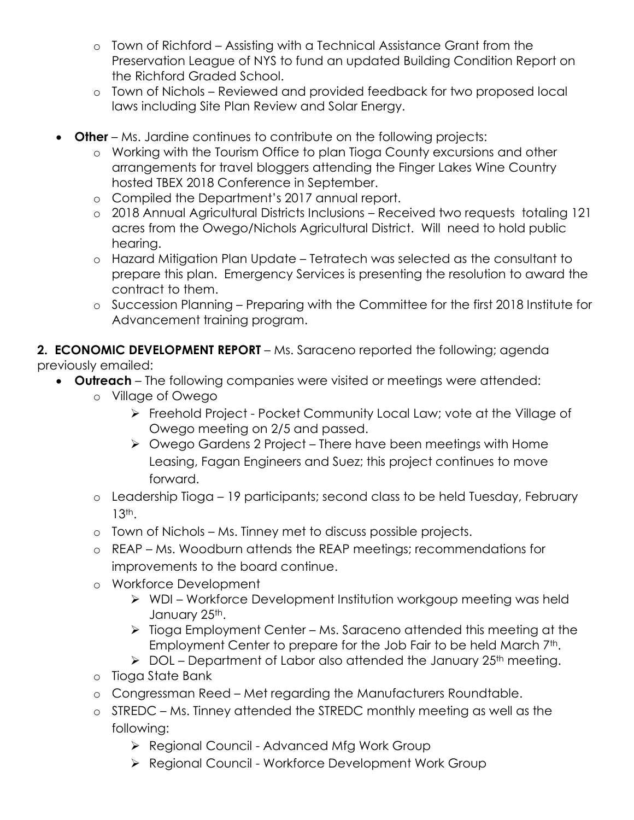- o Town of Richford Assisting with a Technical Assistance Grant from the Preservation League of NYS to fund an updated Building Condition Report on the Richford Graded School.
- o Town of Nichols Reviewed and provided feedback for two proposed local laws including Site Plan Review and Solar Energy.
- **Other** Ms. Jardine continues to contribute on the following projects:
	- o Working with the Tourism Office to plan Tioga County excursions and other arrangements for travel bloggers attending the Finger Lakes Wine Country hosted TBEX 2018 Conference in September.
	- o Compiled the Department's 2017 annual report.
	- o 2018 Annual Agricultural Districts Inclusions Received two requests totaling 121 acres from the Owego/Nichols Agricultural District. Will need to hold public hearing.
	- o Hazard Mitigation Plan Update Tetratech was selected as the consultant to prepare this plan. Emergency Services is presenting the resolution to award the contract to them.
	- o Succession Planning Preparing with the Committee for the first 2018 Institute for Advancement training program.

**2. ECONOMIC DEVELOPMENT REPORT** – Ms. Saraceno reported the following; agenda previously emailed:

- **Outreach**  The following companies were visited or meetings were attended:
	- o Village of Owego
		- Freehold Project Pocket Community Local Law; vote at the Village of Owego meeting on 2/5 and passed.
		- Owego Gardens 2 Project There have been meetings with Home Leasing, Fagan Engineers and Suez; this project continues to move forward.
	- o Leadership Tioga 19 participants; second class to be held Tuesday, February 13th.
	- o Town of Nichols Ms. Tinney met to discuss possible projects.
	- o REAP Ms. Woodburn attends the REAP meetings; recommendations for improvements to the board continue.
	- o Workforce Development
		- WDI Workforce Development Institution workgoup meeting was held January 25th.
		- $\triangleright$  Tioga Employment Center Ms. Saraceno attended this meeting at the Employment Center to prepare for the Job Fair to be held March 7<sup>th</sup>.
		- $\triangleright$  DOL Department of Labor also attended the January 25<sup>th</sup> meeting.
	- o Tioga State Bank
	- o Congressman Reed Met regarding the Manufacturers Roundtable.
	- o STREDC Ms. Tinney attended the STREDC monthly meeting as well as the following:
		- ▶ Regional Council Advanced Mfg Work Group
		- ▶ Regional Council Workforce Development Work Group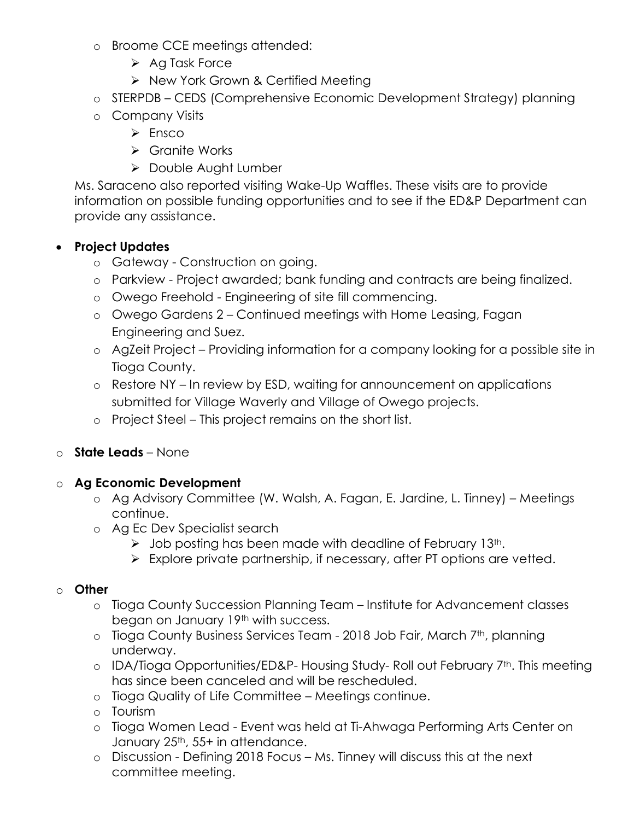- o Broome CCE meetings attended:
	- $\triangleright$  Ag Task Force
	- $\triangleright$  New York Grown & Certified Meeting
- o STERPDB CEDS (Comprehensive Economic Development Strategy) planning
- o Company Visits
	- $\triangleright$  Ensco
	- Granite Works
	- ▶ Double Aught Lumber

Ms. Saraceno also reported visiting Wake-Up Waffles. These visits are to provide information on possible funding opportunities and to see if the ED&P Department can provide any assistance.

# **Project Updates**

- o Gateway Construction on going.
- o Parkview Project awarded; bank funding and contracts are being finalized.
- o Owego Freehold Engineering of site fill commencing.
- o Owego Gardens 2 Continued meetings with Home Leasing, Fagan Engineering and Suez.
- o AgZeit Project Providing information for a company looking for a possible site in Tioga County.
- o Restore NY In review by ESD, waiting for announcement on applications submitted for Village Waverly and Village of Owego projects.
- o Project Steel This project remains on the short list.

# o **State Leads** – None

# o **Ag Economic Development**

- o Ag Advisory Committee (W. Walsh, A. Fagan, E. Jardine, L. Tinney) Meetings continue.
- o Ag Ec Dev Specialist search
	- $\triangleright$  Job posting has been made with deadline of February 13<sup>th</sup>.
	- $\triangleright$  Explore private partnership, if necessary, after PT options are vetted.

## o **Other**

- o Tioga County Succession Planning Team Institute for Advancement classes began on January 19<sup>th</sup> with success.
- o Tioga County Business Services Team 2018 Job Fair, March 7<sup>th</sup>, planning underway.
- o IDA/Tioga Opportunities/ED&P- Housing Study- Roll out February 7<sup>th</sup>. This meeting has since been canceled and will be rescheduled.
- o Tioga Quality of Life Committee Meetings continue.
- o Tourism
- o Tioga Women Lead Event was held at Ti-Ahwaga Performing Arts Center on January 25<sup>th</sup>, 55+ in attendance.
- o Discussion Defining 2018 Focus Ms. Tinney will discuss this at the next committee meeting.